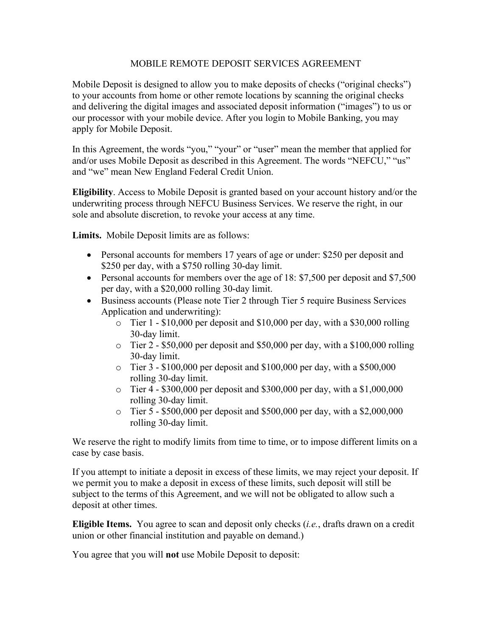## MOBILE REMOTE DEPOSIT SERVICES AGREEMENT

Mobile Deposit is designed to allow you to make deposits of checks ("original checks") to your accounts from home or other remote locations by scanning the original checks and delivering the digital images and associated deposit information ("images") to us or our processor with your mobile device. After you login to Mobile Banking, you may apply for Mobile Deposit.

In this Agreement, the words "you," "your" or "user" mean the member that applied for and/or uses Mobile Deposit as described in this Agreement. The words "NEFCU," "us" and "we" mean New England Federal Credit Union.

**Eligibility**. Access to Mobile Deposit is granted based on your account history and/or the underwriting process through NEFCU Business Services. We reserve the right, in our sole and absolute discretion, to revoke your access at any time.

**Limits.** Mobile Deposit limits are as follows:

- Personal accounts for members 17 years of age or under: \$250 per deposit and \$250 per day, with a \$750 rolling 30-day limit.
- Personal accounts for members over the age of 18: \$7,500 per deposit and \$7,500 per day, with a \$20,000 rolling 30-day limit.
- Business accounts (Please note Tier 2 through Tier 5 require Business Services Application and underwriting):
	- $\circ$  Tier 1 \$10,000 per deposit and \$10,000 per day, with a \$30,000 rolling 30-day limit.
	- $\circ$  Tier 2 \$50,000 per deposit and \$50,000 per day, with a \$100,000 rolling 30-day limit.
	- o Tier 3 \$100,000 per deposit and \$100,000 per day, with a \$500,000 rolling 30-day limit.
	- o Tier 4 \$300,000 per deposit and \$300,000 per day, with a \$1,000,000 rolling 30-day limit.
	- $\circ$  Tier 5 \$500,000 per deposit and \$500,000 per day, with a \$2,000,000 rolling 30-day limit.

We reserve the right to modify limits from time to time, or to impose different limits on a case by case basis.

If you attempt to initiate a deposit in excess of these limits, we may reject your deposit. If we permit you to make a deposit in excess of these limits, such deposit will still be subject to the terms of this Agreement, and we will not be obligated to allow such a deposit at other times.

**Eligible Items.** You agree to scan and deposit only checks (*i.e.*, drafts drawn on a credit union or other financial institution and payable on demand.)

You agree that you will **not** use Mobile Deposit to deposit: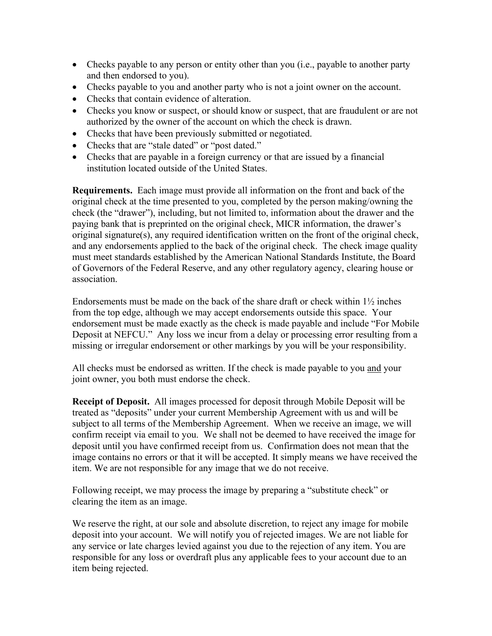- Checks payable to any person or entity other than you (i.e., payable to another party and then endorsed to you).
- Checks payable to you and another party who is not a joint owner on the account.
- Checks that contain evidence of alteration.
- Checks you know or suspect, or should know or suspect, that are fraudulent or are not authorized by the owner of the account on which the check is drawn.
- Checks that have been previously submitted or negotiated.
- Checks that are "stale dated" or "post dated."
- Checks that are payable in a foreign currency or that are issued by a financial institution located outside of the United States.

**Requirements.** Each image must provide all information on the front and back of the original check at the time presented to you, completed by the person making/owning the check (the "drawer"), including, but not limited to, information about the drawer and the paying bank that is preprinted on the original check, MICR information, the drawer's original signature(s), any required identification written on the front of the original check, and any endorsements applied to the back of the original check. The check image quality must meet standards established by the American National Standards Institute, the Board of Governors of the Federal Reserve, and any other regulatory agency, clearing house or association.

Endorsements must be made on the back of the share draft or check within  $1\frac{1}{2}$  inches from the top edge, although we may accept endorsements outside this space. Your endorsement must be made exactly as the check is made payable and include "For Mobile Deposit at NEFCU." Any loss we incur from a delay or processing error resulting from a missing or irregular endorsement or other markings by you will be your responsibility.

All checks must be endorsed as written. If the check is made payable to you and your joint owner, you both must endorse the check.

**Receipt of Deposit.** All images processed for deposit through Mobile Deposit will be treated as "deposits" under your current Membership Agreement with us and will be subject to all terms of the Membership Agreement. When we receive an image, we will confirm receipt via email to you. We shall not be deemed to have received the image for deposit until you have confirmed receipt from us. Confirmation does not mean that the image contains no errors or that it will be accepted. It simply means we have received the item. We are not responsible for any image that we do not receive.

Following receipt, we may process the image by preparing a "substitute check" or clearing the item as an image.

We reserve the right, at our sole and absolute discretion, to reject any image for mobile deposit into your account. We will notify you of rejected images. We are not liable for any service or late charges levied against you due to the rejection of any item. You are responsible for any loss or overdraft plus any applicable fees to your account due to an item being rejected.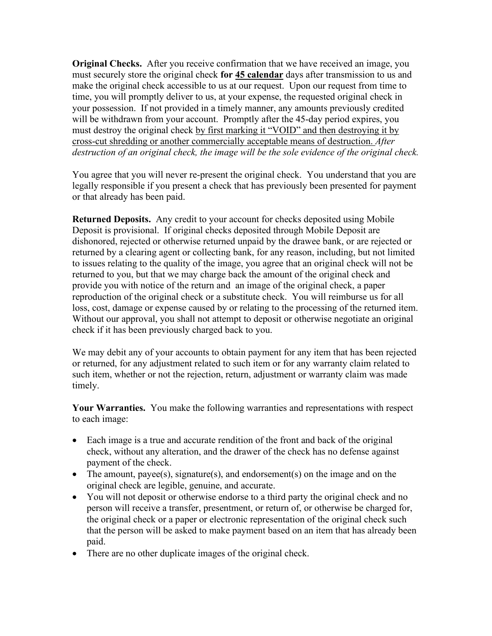**Original Checks.** After you receive confirmation that we have received an image, you must securely store the original check **for 45 calendar** days after transmission to us and make the original check accessible to us at our request. Upon our request from time to time, you will promptly deliver to us, at your expense, the requested original check in your possession. If not provided in a timely manner, any amounts previously credited will be withdrawn from your account. Promptly after the 45-day period expires, you must destroy the original check by first marking it "VOID" and then destroying it by cross-cut shredding or another commercially acceptable means of destruction. *After destruction of an original check, the image will be the sole evidence of the original check.*

You agree that you will never re-present the original check. You understand that you are legally responsible if you present a check that has previously been presented for payment or that already has been paid.

**Returned Deposits.** Any credit to your account for checks deposited using Mobile Deposit is provisional. If original checks deposited through Mobile Deposit are dishonored, rejected or otherwise returned unpaid by the drawee bank, or are rejected or returned by a clearing agent or collecting bank, for any reason, including, but not limited to issues relating to the quality of the image, you agree that an original check will not be returned to you, but that we may charge back the amount of the original check and provide you with notice of the return and an image of the original check, a paper reproduction of the original check or a substitute check. You will reimburse us for all loss, cost, damage or expense caused by or relating to the processing of the returned item. Without our approval, you shall not attempt to deposit or otherwise negotiate an original check if it has been previously charged back to you.

We may debit any of your accounts to obtain payment for any item that has been rejected or returned, for any adjustment related to such item or for any warranty claim related to such item, whether or not the rejection, return, adjustment or warranty claim was made timely.

**Your Warranties.** You make the following warranties and representations with respect to each image:

- Each image is a true and accurate rendition of the front and back of the original check, without any alteration, and the drawer of the check has no defense against payment of the check.
- The amount, payee(s), signature(s), and endorsement(s) on the image and on the original check are legible, genuine, and accurate.
- You will not deposit or otherwise endorse to a third party the original check and no person will receive a transfer, presentment, or return of, or otherwise be charged for, the original check or a paper or electronic representation of the original check such that the person will be asked to make payment based on an item that has already been paid.
- There are no other duplicate images of the original check.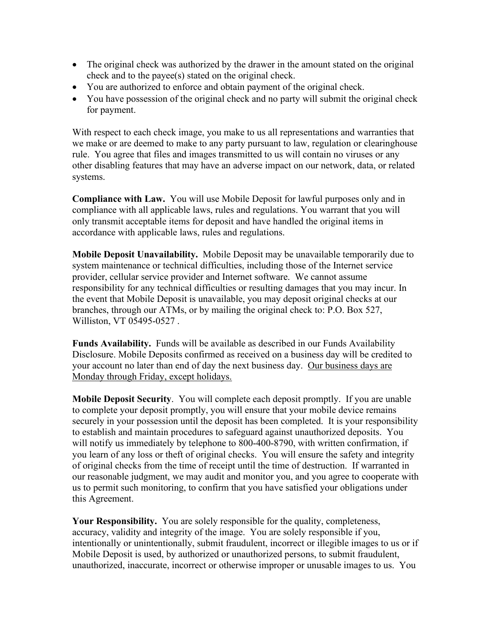- The original check was authorized by the drawer in the amount stated on the original check and to the payee(s) stated on the original check.
- You are authorized to enforce and obtain payment of the original check.
- You have possession of the original check and no party will submit the original check for payment.

With respect to each check image, you make to us all representations and warranties that we make or are deemed to make to any party pursuant to law, regulation or clearinghouse rule. You agree that files and images transmitted to us will contain no viruses or any other disabling features that may have an adverse impact on our network, data, or related systems.

**Compliance with Law.** You will use Mobile Deposit for lawful purposes only and in compliance with all applicable laws, rules and regulations. You warrant that you will only transmit acceptable items for deposit and have handled the original items in accordance with applicable laws, rules and regulations.

**Mobile Deposit Unavailability.** Mobile Deposit may be unavailable temporarily due to system maintenance or technical difficulties, including those of the Internet service provider, cellular service provider and Internet software. We cannot assume responsibility for any technical difficulties or resulting damages that you may incur. In the event that Mobile Deposit is unavailable, you may deposit original checks at our branches, through our ATMs, or by mailing the original check to: P.O. Box 527, Williston, VT 05495-0527 .

**Funds Availability.** Funds will be available as described in our Funds Availability Disclosure. Mobile Deposits confirmed as received on a business day will be credited to your account no later than end of day the next business day. Our business days are Monday through Friday, except holidays.

**Mobile Deposit Security**. You will complete each deposit promptly. If you are unable to complete your deposit promptly, you will ensure that your mobile device remains securely in your possession until the deposit has been completed. It is your responsibility to establish and maintain procedures to safeguard against unauthorized deposits. You will notify us immediately by telephone to 800-400-8790, with written confirmation, if you learn of any loss or theft of original checks. You will ensure the safety and integrity of original checks from the time of receipt until the time of destruction. If warranted in our reasonable judgment, we may audit and monitor you, and you agree to cooperate with us to permit such monitoring, to confirm that you have satisfied your obligations under this Agreement.

**Your Responsibility.** You are solely responsible for the quality, completeness, accuracy, validity and integrity of the image. You are solely responsible if you, intentionally or unintentionally, submit fraudulent, incorrect or illegible images to us or if Mobile Deposit is used, by authorized or unauthorized persons, to submit fraudulent, unauthorized, inaccurate, incorrect or otherwise improper or unusable images to us. You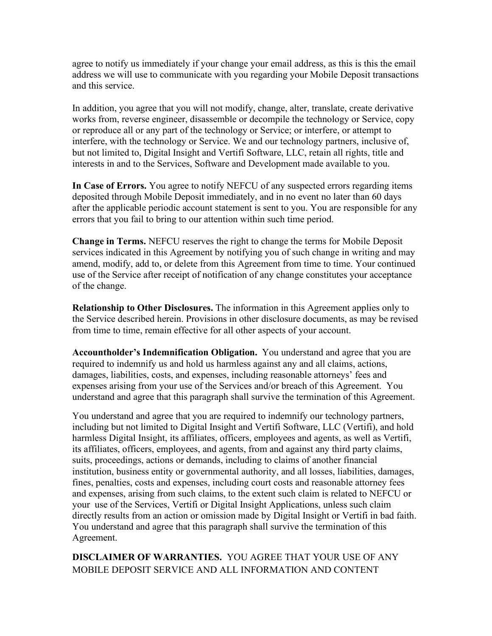agree to notify us immediately if your change your email address, as this is this the email address we will use to communicate with you regarding your Mobile Deposit transactions and this service.

In addition, you agree that you will not modify, change, alter, translate, create derivative works from, reverse engineer, disassemble or decompile the technology or Service, copy or reproduce all or any part of the technology or Service; or interfere, or attempt to interfere, with the technology or Service. We and our technology partners, inclusive of, but not limited to, Digital Insight and Vertifi Software, LLC, retain all rights, title and interests in and to the Services, Software and Development made available to you.

**In Case of Errors.** You agree to notify NEFCU of any suspected errors regarding items deposited through Mobile Deposit immediately, and in no event no later than 60 days after the applicable periodic account statement is sent to you. You are responsible for any errors that you fail to bring to our attention within such time period.

**Change in Terms.** NEFCU reserves the right to change the terms for Mobile Deposit services indicated in this Agreement by notifying you of such change in writing and may amend, modify, add to, or delete from this Agreement from time to time. Your continued use of the Service after receipt of notification of any change constitutes your acceptance of the change.

**Relationship to Other Disclosures.** The information in this Agreement applies only to the Service described herein. Provisions in other disclosure documents, as may be revised from time to time, remain effective for all other aspects of your account.

**Accountholder's Indemnification Obligation.** You understand and agree that you are required to indemnify us and hold us harmless against any and all claims, actions, damages, liabilities, costs, and expenses, including reasonable attorneys' fees and expenses arising from your use of the Services and/or breach of this Agreement. You understand and agree that this paragraph shall survive the termination of this Agreement.

You understand and agree that you are required to indemnify our technology partners, including but not limited to Digital Insight and Vertifi Software, LLC (Vertifi), and hold harmless Digital Insight, its affiliates, officers, employees and agents, as well as Vertifi, its affiliates, officers, employees, and agents, from and against any third party claims, suits, proceedings, actions or demands, including to claims of another financial institution, business entity or governmental authority, and all losses, liabilities, damages, fines, penalties, costs and expenses, including court costs and reasonable attorney fees and expenses, arising from such claims, to the extent such claim is related to NEFCU or your use of the Services, Vertifi or Digital Insight Applications, unless such claim directly results from an action or omission made by Digital Insight or Vertifi in bad faith. You understand and agree that this paragraph shall survive the termination of this Agreement.

**DISCLAIMER OF WARRANTIES.** YOU AGREE THAT YOUR USE OF ANY MOBILE DEPOSIT SERVICE AND ALL INFORMATION AND CONTENT